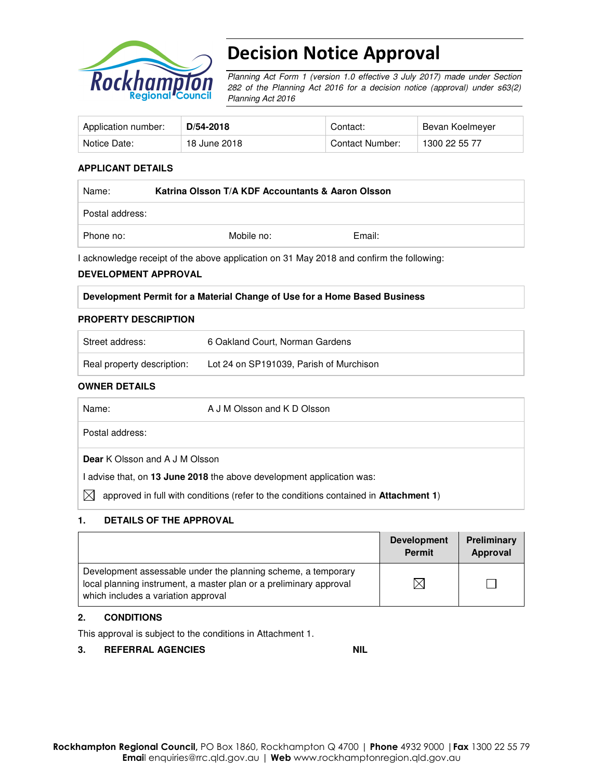

# Decision Notice Approval

Planning Act Form 1 (version 1.0 effective 3 July 2017) made under Section 282 of the Planning Act 2016 for a decision notice (approval) under s63(2) Planning Act 2016

| Application number: | D/54-2018    | Contact:        | Bevan Koelmeyer |
|---------------------|--------------|-----------------|-----------------|
| Notice Date:        | 18 June 2018 | Contact Number: | 1300 22 55 77   |

### **APPLICANT DETAILS**

| Name:           | Katrina Olsson T/A KDF Accountants & Aaron Olsson |        |  |
|-----------------|---------------------------------------------------|--------|--|
| Postal address: |                                                   |        |  |
| Phone no:       | Mobile no:                                        | Email: |  |

I acknowledge receipt of the above application on 31 May 2018 and confirm the following:

#### **DEVELOPMENT APPROVAL**

#### **PROPERTY DESCRIPTION**

| Street address:            | 6 Oakland Court, Norman Gardens         |
|----------------------------|-----------------------------------------|
| Real property description: | Lot 24 on SP191039, Parish of Murchison |

#### **OWNER DETAILS**

| Name:                                 | A J M Olsson and K D Olsson                                                                  |
|---------------------------------------|----------------------------------------------------------------------------------------------|
| Postal address:                       |                                                                                              |
| <b>Dear</b> K Olsson and A J M Olsson |                                                                                              |
|                                       | I advise that, on 13 June 2018 the above development application was:                        |
| IХ                                    | approved in full with conditions (refer to the conditions contained in <b>Attachment 1</b> ) |

## **1. DETAILS OF THE APPROVAL**

|                                                                                                                                                                            | <b>Development</b><br><b>Permit</b> | Preliminary<br>Approval |
|----------------------------------------------------------------------------------------------------------------------------------------------------------------------------|-------------------------------------|-------------------------|
| Development assessable under the planning scheme, a temporary<br>local planning instrument, a master plan or a preliminary approval<br>which includes a variation approval |                                     |                         |

### **2. CONDITIONS**

This approval is subject to the conditions in Attachment 1.

### **3. REFERRAL AGENCIES NIL**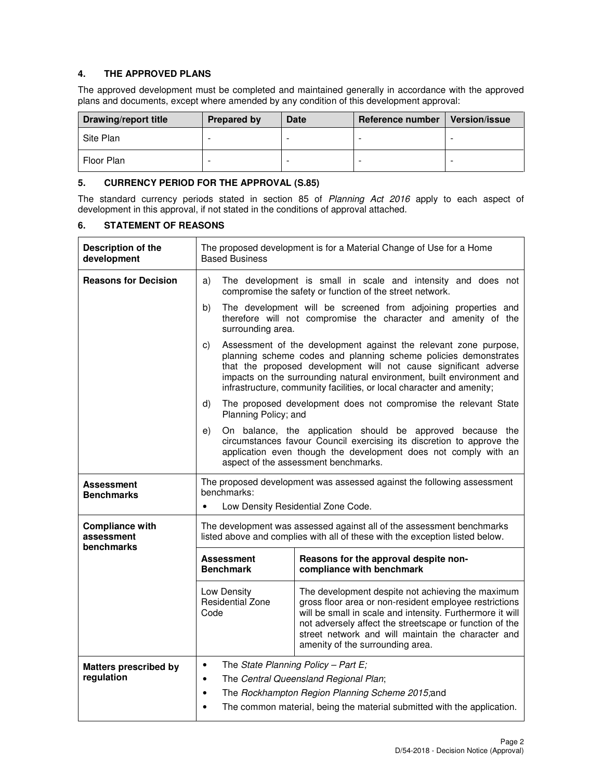## **4. THE APPROVED PLANS**

The approved development must be completed and maintained generally in accordance with the approved plans and documents, except where amended by any condition of this development approval:

| Drawing/report title | <b>Prepared by</b> | Date | Reference number | <b>Version/issue</b> |
|----------------------|--------------------|------|------------------|----------------------|
| Site Plan            |                    |      |                  |                      |
| Floor Plan           | -                  | -    | -                |                      |

#### **5. CURRENCY PERIOD FOR THE APPROVAL (S.85)**

The standard currency periods stated in section 85 of Planning Act 2016 apply to each aspect of development in this approval, if not stated in the conditions of approval attached.

### **6. STATEMENT OF REASONS**

| Description of the<br>development                  | The proposed development is for a Material Change of Use for a Home<br><b>Based Business</b>                                                                                                                                                                                                                                                                                    |                                                                                                                                                                                                                                                                                                                                                           |  |  |
|----------------------------------------------------|---------------------------------------------------------------------------------------------------------------------------------------------------------------------------------------------------------------------------------------------------------------------------------------------------------------------------------------------------------------------------------|-----------------------------------------------------------------------------------------------------------------------------------------------------------------------------------------------------------------------------------------------------------------------------------------------------------------------------------------------------------|--|--|
| <b>Reasons for Decision</b>                        | The development is small in scale and intensity and does not<br>a)<br>compromise the safety or function of the street network.                                                                                                                                                                                                                                                  |                                                                                                                                                                                                                                                                                                                                                           |  |  |
|                                                    | b)<br>surrounding area.                                                                                                                                                                                                                                                                                                                                                         | The development will be screened from adjoining properties and<br>therefore will not compromise the character and amenity of the                                                                                                                                                                                                                          |  |  |
|                                                    | C)                                                                                                                                                                                                                                                                                                                                                                              | Assessment of the development against the relevant zone purpose,<br>planning scheme codes and planning scheme policies demonstrates<br>that the proposed development will not cause significant adverse<br>impacts on the surrounding natural environment, built environment and<br>infrastructure, community facilities, or local character and amenity; |  |  |
|                                                    | d)<br>Planning Policy; and                                                                                                                                                                                                                                                                                                                                                      | The proposed development does not compromise the relevant State                                                                                                                                                                                                                                                                                           |  |  |
|                                                    | e)                                                                                                                                                                                                                                                                                                                                                                              | On balance, the application should be approved because the<br>circumstances favour Council exercising its discretion to approve the<br>application even though the development does not comply with an<br>aspect of the assessment benchmarks.                                                                                                            |  |  |
| Assessment<br><b>Benchmarks</b>                    | benchmarks:                                                                                                                                                                                                                                                                                                                                                                     | The proposed development was assessed against the following assessment                                                                                                                                                                                                                                                                                    |  |  |
|                                                    | Low Density Residential Zone Code.<br>$\bullet$                                                                                                                                                                                                                                                                                                                                 |                                                                                                                                                                                                                                                                                                                                                           |  |  |
| <b>Compliance with</b><br>assessment<br>benchmarks |                                                                                                                                                                                                                                                                                                                                                                                 | The development was assessed against all of the assessment benchmarks<br>listed above and complies with all of these with the exception listed below.                                                                                                                                                                                                     |  |  |
|                                                    | <b>Assessment</b><br><b>Benchmark</b>                                                                                                                                                                                                                                                                                                                                           | Reasons for the approval despite non-<br>compliance with benchmark                                                                                                                                                                                                                                                                                        |  |  |
|                                                    | Low Density<br>The development despite not achieving the maximum<br><b>Residential Zone</b><br>gross floor area or non-resident employee restrictions<br>will be small in scale and intensity. Furthermore it will<br>Code<br>not adversely affect the streetscape or function of the<br>street network and will maintain the character and<br>amenity of the surrounding area. |                                                                                                                                                                                                                                                                                                                                                           |  |  |
| <b>Matters prescribed by</b><br>regulation         | The State Planning Policy - Part $E$ ;<br>$\bullet$<br>The Central Queensland Regional Plan;<br>$\bullet$<br>The Rockhampton Region Planning Scheme 2015;and<br>$\bullet$<br>The common material, being the material submitted with the application.<br>$\bullet$                                                                                                               |                                                                                                                                                                                                                                                                                                                                                           |  |  |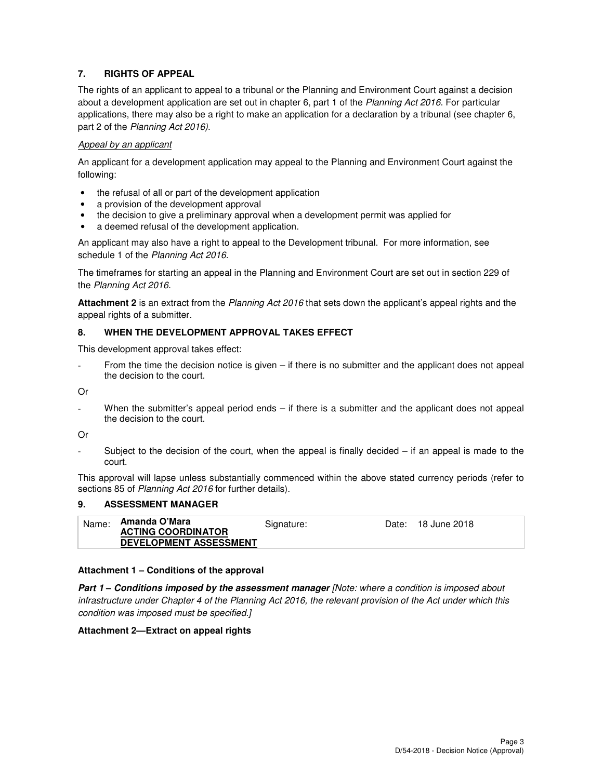## **7. RIGHTS OF APPEAL**

The rights of an applicant to appeal to a tribunal or the Planning and Environment Court against a decision about a development application are set out in chapter 6, part 1 of the Planning Act 2016. For particular applications, there may also be a right to make an application for a declaration by a tribunal (see chapter 6, part 2 of the Planning Act 2016).

### Appeal by an applicant

An applicant for a development application may appeal to the Planning and Environment Court against the following:

- the refusal of all or part of the development application
- a provision of the development approval
- the decision to give a preliminary approval when a development permit was applied for
- a deemed refusal of the development application.

An applicant may also have a right to appeal to the Development tribunal. For more information, see schedule 1 of the Planning Act 2016.

The timeframes for starting an appeal in the Planning and Environment Court are set out in section 229 of the Planning Act 2016.

**Attachment 2** is an extract from the Planning Act 2016 that sets down the applicant's appeal rights and the appeal rights of a submitter.

### **8. WHEN THE DEVELOPMENT APPROVAL TAKES EFFECT**

This development approval takes effect:

From the time the decision notice is given – if there is no submitter and the applicant does not appeal the decision to the court.

Or

When the submitter's appeal period ends – if there is a submitter and the applicant does not appeal the decision to the court.

Or

Subject to the decision of the court, when the appeal is finally decided  $-$  if an appeal is made to the court.

This approval will lapse unless substantially commenced within the above stated currency periods (refer to sections 85 of Planning Act 2016 for further details).

### **9. ASSESSMENT MANAGER**

| Name: | Amanda O'Mara                 | Signature: | Date: | 18 June 2018 |
|-------|-------------------------------|------------|-------|--------------|
|       | <b>ACTING COORDINATOR</b>     |            |       |              |
|       | <b>DEVELOPMENT ASSESSMENT</b> |            |       |              |

### **Attachment 1 – Conditions of the approval**

**Part 1 – Conditions imposed by the assessment manager** [Note: where a condition is imposed about infrastructure under Chapter 4 of the Planning Act 2016, the relevant provision of the Act under which this condition was imposed must be specified.]

### **Attachment 2—Extract on appeal rights**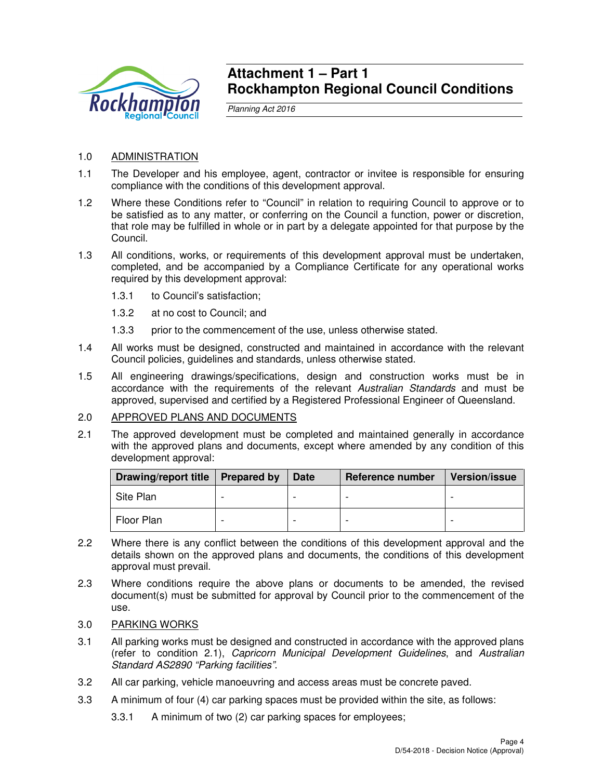

## **Attachment 1 – Part 1 Rockhampton Regional Council Conditions**

Planning Act 2016

## 1.0 ADMINISTRATION

- 1.1 The Developer and his employee, agent, contractor or invitee is responsible for ensuring compliance with the conditions of this development approval.
- 1.2 Where these Conditions refer to "Council" in relation to requiring Council to approve or to be satisfied as to any matter, or conferring on the Council a function, power or discretion, that role may be fulfilled in whole or in part by a delegate appointed for that purpose by the Council.
- 1.3 All conditions, works, or requirements of this development approval must be undertaken, completed, and be accompanied by a Compliance Certificate for any operational works required by this development approval:
	- 1.3.1 to Council's satisfaction;
	- 1.3.2 at no cost to Council; and
	- 1.3.3 prior to the commencement of the use, unless otherwise stated.
- 1.4 All works must be designed, constructed and maintained in accordance with the relevant Council policies, guidelines and standards, unless otherwise stated.
- 1.5 All engineering drawings/specifications, design and construction works must be in accordance with the requirements of the relevant Australian Standards and must be approved, supervised and certified by a Registered Professional Engineer of Queensland.

## 2.0 APPROVED PLANS AND DOCUMENTS

2.1 The approved development must be completed and maintained generally in accordance with the approved plans and documents, except where amended by any condition of this development approval:

| Drawing/report title | <b>Prepared by</b> | <b>Date</b> | Reference number | <b>Version/issue</b> |
|----------------------|--------------------|-------------|------------------|----------------------|
| Site Plan            |                    |             |                  |                      |
| Floor Plan           | -                  |             |                  |                      |

- 2.2 Where there is any conflict between the conditions of this development approval and the details shown on the approved plans and documents, the conditions of this development approval must prevail.
- 2.3 Where conditions require the above plans or documents to be amended, the revised document(s) must be submitted for approval by Council prior to the commencement of the use.
- 3.0 PARKING WORKS
- 3.1 All parking works must be designed and constructed in accordance with the approved plans (refer to condition 2.1), Capricorn Municipal Development Guidelines, and Australian Standard AS2890 "Parking facilities".
- 3.2 All car parking, vehicle manoeuvring and access areas must be concrete paved.
- 3.3 A minimum of four (4) car parking spaces must be provided within the site, as follows:
	- 3.3.1 A minimum of two (2) car parking spaces for employees;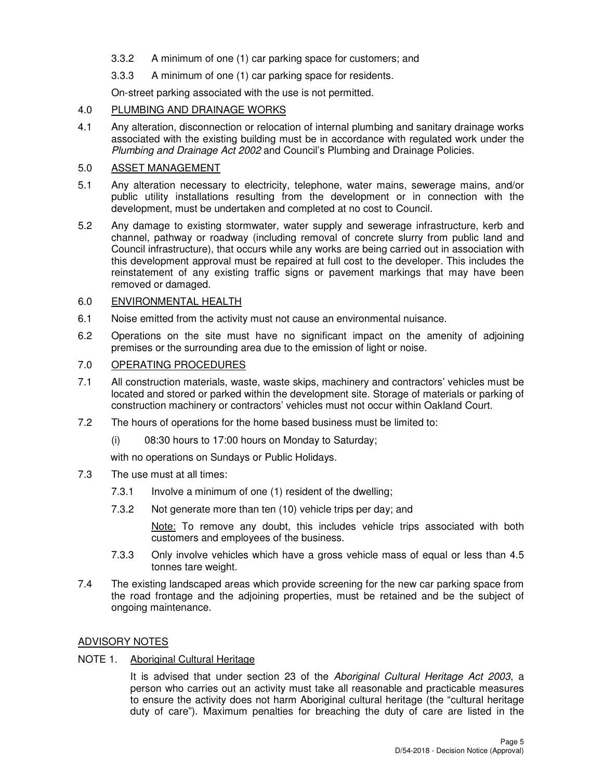- 3.3.2 A minimum of one (1) car parking space for customers; and
- 3.3.3 A minimum of one (1) car parking space for residents.

On-street parking associated with the use is not permitted.

## 4.0 PLUMBING AND DRAINAGE WORKS

4.1 Any alteration, disconnection or relocation of internal plumbing and sanitary drainage works associated with the existing building must be in accordance with regulated work under the Plumbing and Drainage Act 2002 and Council's Plumbing and Drainage Policies.

## 5.0 ASSET MANAGEMENT

- 5.1 Any alteration necessary to electricity, telephone, water mains, sewerage mains, and/or public utility installations resulting from the development or in connection with the development, must be undertaken and completed at no cost to Council.
- 5.2 Any damage to existing stormwater, water supply and sewerage infrastructure, kerb and channel, pathway or roadway (including removal of concrete slurry from public land and Council infrastructure), that occurs while any works are being carried out in association with this development approval must be repaired at full cost to the developer. This includes the reinstatement of any existing traffic signs or pavement markings that may have been removed or damaged.

## 6.0 ENVIRONMENTAL HEALTH

- 6.1 Noise emitted from the activity must not cause an environmental nuisance.
- 6.2 Operations on the site must have no significant impact on the amenity of adjoining premises or the surrounding area due to the emission of light or noise.

## 7.0 OPERATING PROCEDURES

- 7.1 All construction materials, waste, waste skips, machinery and contractors' vehicles must be located and stored or parked within the development site. Storage of materials or parking of construction machinery or contractors' vehicles must not occur within Oakland Court.
- 7.2 The hours of operations for the home based business must be limited to:
	- (i) 08:30 hours to 17:00 hours on Monday to Saturday;

with no operations on Sundays or Public Holidays.

- 7.3 The use must at all times:
	- 7.3.1 Involve a minimum of one (1) resident of the dwelling;
	- 7.3.2 Not generate more than ten (10) vehicle trips per day; and

Note: To remove any doubt, this includes vehicle trips associated with both customers and employees of the business.

- 7.3.3 Only involve vehicles which have a gross vehicle mass of equal or less than 4.5 tonnes tare weight.
- 7.4 The existing landscaped areas which provide screening for the new car parking space from the road frontage and the adjoining properties, must be retained and be the subject of ongoing maintenance.

## ADVISORY NOTES

## NOTE 1. Aboriginal Cultural Heritage

It is advised that under section 23 of the Aboriginal Cultural Heritage Act 2003, a person who carries out an activity must take all reasonable and practicable measures to ensure the activity does not harm Aboriginal cultural heritage (the "cultural heritage duty of care"). Maximum penalties for breaching the duty of care are listed in the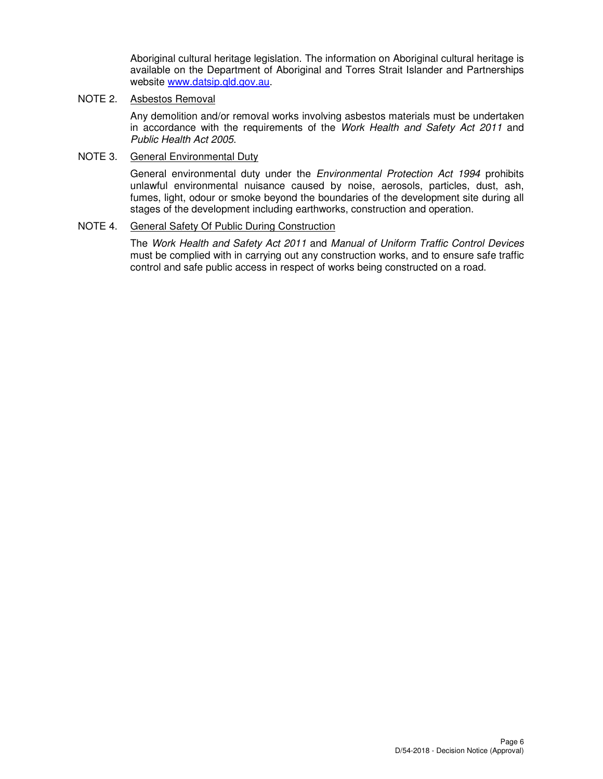Aboriginal cultural heritage legislation. The information on Aboriginal cultural heritage is available on the Department of Aboriginal and Torres Strait Islander and Partnerships website www.datsip.qld.gov.au.

## NOTE 2. Asbestos Removal

Any demolition and/or removal works involving asbestos materials must be undertaken in accordance with the requirements of the Work Health and Safety Act 2011 and Public Health Act 2005.

## NOTE 3. General Environmental Duty

General environmental duty under the *Environmental Protection Act 1994* prohibits unlawful environmental nuisance caused by noise, aerosols, particles, dust, ash, fumes, light, odour or smoke beyond the boundaries of the development site during all stages of the development including earthworks, construction and operation.

## NOTE 4. General Safety Of Public During Construction

The Work Health and Safety Act 2011 and Manual of Uniform Traffic Control Devices must be complied with in carrying out any construction works, and to ensure safe traffic control and safe public access in respect of works being constructed on a road.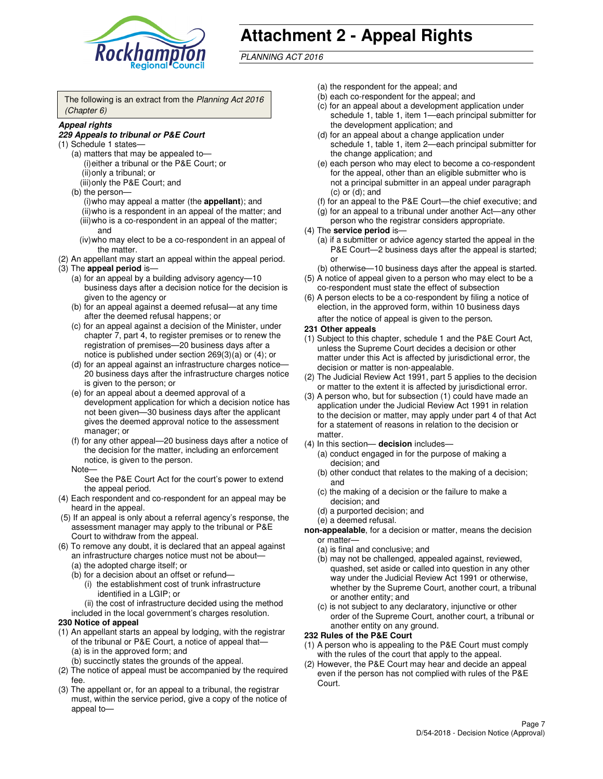

# **Attachment 2 - Appeal Rights**

PLANNING ACT 2016

The following is an extract from the Planning Act 2016 (Chapter 6)

#### **Appeal rights**

#### **229 Appeals to tribunal or P&E Court**

- (1) Schedule 1 states—
	- (a) matters that may be appealed to— (i) either a tribunal or the P&E Court; or (ii) only a tribunal; or (iii) only the P&E Court; and
	- (b) the person—
		- (i) who may appeal a matter (the **appellant**); and
		- (ii) who is a respondent in an appeal of the matter; and (iii) who is a co-respondent in an appeal of the matter; and
		- (iv) who may elect to be a co-respondent in an appeal of the matter.
- (2) An appellant may start an appeal within the appeal period.
- (3) The **appeal period** is—
	- (a) for an appeal by a building advisory agency—10 business days after a decision notice for the decision is given to the agency or
	- (b) for an appeal against a deemed refusal—at any time after the deemed refusal happens; or
	- (c) for an appeal against a decision of the Minister, under chapter 7, part 4, to register premises or to renew the registration of premises—20 business days after a notice is published under section 269(3)(a) or (4); or
	- (d) for an appeal against an infrastructure charges notice— 20 business days after the infrastructure charges notice is given to the person; or
	- (e) for an appeal about a deemed approval of a development application for which a decision notice has not been given—30 business days after the applicant gives the deemed approval notice to the assessment manager; or
	- (f) for any other appeal—20 business days after a notice of the decision for the matter, including an enforcement notice, is given to the person.
	- Note—

See the P&E Court Act for the court's power to extend the appeal period.

- (4) Each respondent and co-respondent for an appeal may be heard in the appeal.
- (5) If an appeal is only about a referral agency's response, the assessment manager may apply to the tribunal or P&E Court to withdraw from the appeal.
- (6) To remove any doubt, it is declared that an appeal against an infrastructure charges notice must not be about—
	- (a) the adopted charge itself; or
	- (b) for a decision about an offset or refund—
		- (i) the establishment cost of trunk infrastructure identified in a LGIP; or
		- (ii) the cost of infrastructure decided using the method
- included in the local government's charges resolution. **230 Notice of appeal**
- (1) An appellant starts an appeal by lodging, with the registrar of the tribunal or P&E Court, a notice of appeal that—
	- (a) is in the approved form; and
	- (b) succinctly states the grounds of the appeal.
- (2) The notice of appeal must be accompanied by the required fee.
- (3) The appellant or, for an appeal to a tribunal, the registrar must, within the service period, give a copy of the notice of appeal to—
- (a) the respondent for the appeal; and
- (b) each co-respondent for the appeal; and
- (c) for an appeal about a development application under schedule 1, table 1, item 1—each principal submitter for the development application; and
- (d) for an appeal about a change application under schedule 1, table 1, item 2—each principal submitter for the change application; and
- (e) each person who may elect to become a co-respondent for the appeal, other than an eligible submitter who is not a principal submitter in an appeal under paragraph  $(c)$  or  $(d)$ ; and
- (f) for an appeal to the P&E Court—the chief executive; and
- (g) for an appeal to a tribunal under another Act—any other person who the registrar considers appropriate.
- (4) The **service period** is—
	- (a) if a submitter or advice agency started the appeal in the P&E Court—2 business days after the appeal is started; or
	- (b) otherwise—10 business days after the appeal is started.
- (5) A notice of appeal given to a person who may elect to be a co-respondent must state the effect of subsection
- (6) A person elects to be a co-respondent by filing a notice of election, in the approved form, within 10 business days after the notice of appeal is given to the person*.*
- **231 Other appeals**
- (1) Subject to this chapter, schedule 1 and the P&E Court Act, unless the Supreme Court decides a decision or other matter under this Act is affected by jurisdictional error, the decision or matter is non-appealable.
- (2) The Judicial Review Act 1991, part 5 applies to the decision or matter to the extent it is affected by jurisdictional error.
- (3) A person who, but for subsection (1) could have made an application under the Judicial Review Act 1991 in relation to the decision or matter, may apply under part 4 of that Act for a statement of reasons in relation to the decision or matter.
- (4) In this section— **decision** includes—
	- (a) conduct engaged in for the purpose of making a decision; and
	- (b) other conduct that relates to the making of a decision; and
	- (c) the making of a decision or the failure to make a decision; and
	- (d) a purported decision; and
	- (e) a deemed refusal.

**non-appealable**, for a decision or matter, means the decision or matter—

- (a) is final and conclusive; and
- (b) may not be challenged, appealed against, reviewed, quashed, set aside or called into question in any other way under the Judicial Review Act 1991 or otherwise, whether by the Supreme Court, another court, a tribunal or another entity; and
- (c) is not subject to any declaratory, injunctive or other order of the Supreme Court, another court, a tribunal or another entity on any ground.

#### **232 Rules of the P&E Court**

- (1) A person who is appealing to the P&E Court must comply with the rules of the court that apply to the appeal.
- (2) However, the P&E Court may hear and decide an appeal even if the person has not complied with rules of the P&E Court.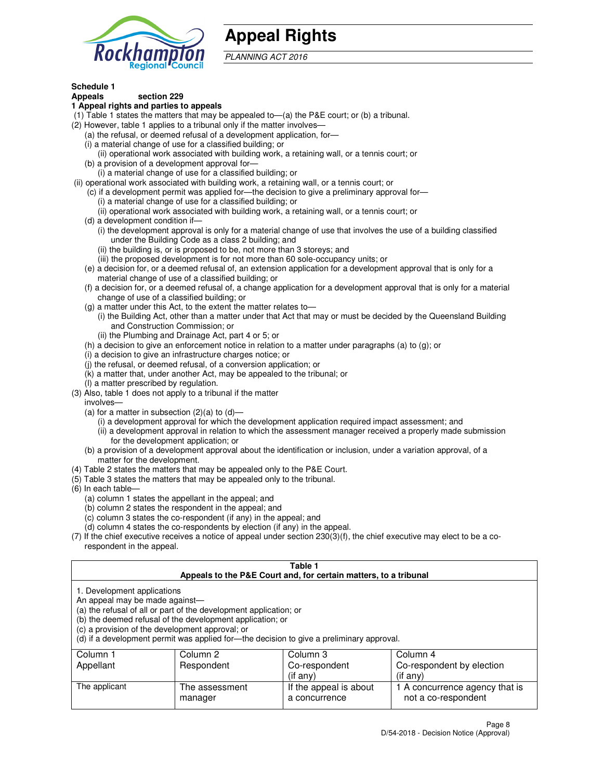

## **Appeal Rights**

PLANNING ACT 2016

## **Schedule 1**

## **Appeals section 229**

#### **1 Appeal rights and parties to appeals**

- (1) Table 1 states the matters that may be appealed to—(a) the P&E court; or (b) a tribunal.
- (2) However, table 1 applies to a tribunal only if the matter involves—
	- (a) the refusal, or deemed refusal of a development application, for—
	- (i) a material change of use for a classified building; or
	- (ii) operational work associated with building work, a retaining wall, or a tennis court; or
	- (b) a provision of a development approval for—
	- (i) a material change of use for a classified building; or
- (ii) operational work associated with building work, a retaining wall, or a tennis court; or
	- (c) if a development permit was applied for—the decision to give a preliminary approval for—
		- (i) a material change of use for a classified building; or
		- (ii) operational work associated with building work, a retaining wall, or a tennis court; or
	- (d) a development condition if—
		- (i) the development approval is only for a material change of use that involves the use of a building classified under the Building Code as a class 2 building; and
		- (ii) the building is, or is proposed to be, not more than 3 storeys; and
		- (iii) the proposed development is for not more than 60 sole-occupancy units; or
	- (e) a decision for, or a deemed refusal of, an extension application for a development approval that is only for a material change of use of a classified building; or
	- (f) a decision for, or a deemed refusal of, a change application for a development approval that is only for a material change of use of a classified building; or
	- (g) a matter under this Act, to the extent the matter relates to—
		- (i) the Building Act, other than a matter under that Act that may or must be decided by the Queensland Building and Construction Commission; or
		- (ii) the Plumbing and Drainage Act, part 4 or 5; or
	- (h) a decision to give an enforcement notice in relation to a matter under paragraphs (a) to (g); or
	- (i) a decision to give an infrastructure charges notice; or
	- (j) the refusal, or deemed refusal, of a conversion application; or
	- (k) a matter that, under another Act, may be appealed to the tribunal; or
	- (l) a matter prescribed by regulation.
- (3) Also, table 1 does not apply to a tribunal if the matter
	- involves—
	- (a) for a matter in subsection  $(2)(a)$  to  $(d)$ 
		- (i) a development approval for which the development application required impact assessment; and
		- (ii) a development approval in relation to which the assessment manager received a properly made submission for the development application; or
	- (b) a provision of a development approval about the identification or inclusion, under a variation approval, of a matter for the development.
- (4) Table 2 states the matters that may be appealed only to the P&E Court.
- (5) Table 3 states the matters that may be appealed only to the tribunal.
- (6) In each table—
	- (a) column 1 states the appellant in the appeal; and
	- (b) column 2 states the respondent in the appeal; and
	- (c) column 3 states the co-respondent (if any) in the appeal; and
	- (d) column 4 states the co-respondents by election (if any) in the appeal.
- (7) If the chief executive receives a notice of appeal under section 230(3)(f), the chief executive may elect to be a corespondent in the appeal.

| Table 1<br>Appeals to the P&E Court and, for certain matters, to a tribunal                                                                                                                                                                                                                                                                    |                           |                                         |                                                       |  |  |
|------------------------------------------------------------------------------------------------------------------------------------------------------------------------------------------------------------------------------------------------------------------------------------------------------------------------------------------------|---------------------------|-----------------------------------------|-------------------------------------------------------|--|--|
| 1. Development applications<br>An appeal may be made against-<br>(a) the refusal of all or part of the development application; or<br>(b) the deemed refusal of the development application; or<br>(c) a provision of the development approval; or<br>(d) if a development permit was applied for—the decision to give a preliminary approval. |                           |                                         |                                                       |  |  |
| Column 1                                                                                                                                                                                                                                                                                                                                       | Column 2                  | Column 3                                | Column 4                                              |  |  |
| Appellant                                                                                                                                                                                                                                                                                                                                      | Respondent                | Co-respondent                           | Co-respondent by election                             |  |  |
| $(i$ f any $)$<br>$(i$ f any)                                                                                                                                                                                                                                                                                                                  |                           |                                         |                                                       |  |  |
| The applicant                                                                                                                                                                                                                                                                                                                                  | The assessment<br>manager | If the appeal is about<br>a concurrence | 1 A concurrence agency that is<br>not a co-respondent |  |  |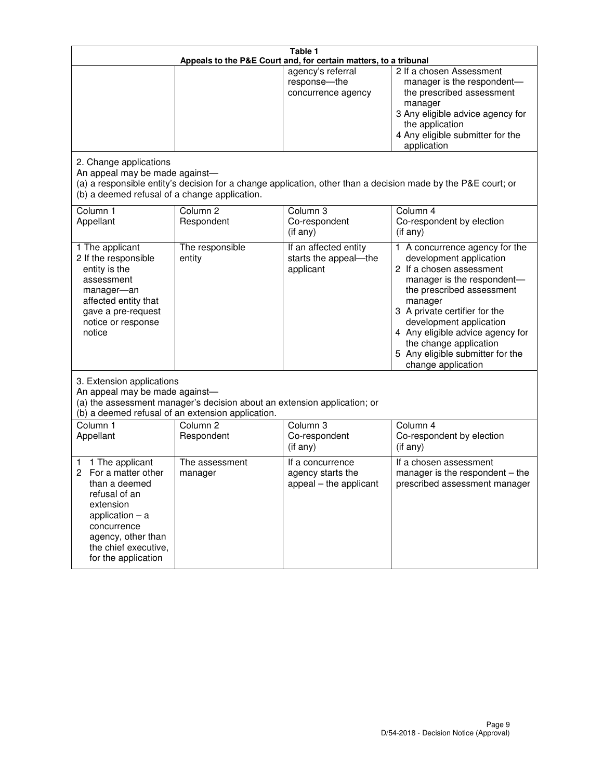| Table 1<br>Appeals to the P&E Court and, for certain matters, to a tribunal                                                                                                                             |                                                                                                                                                                                              |                                                                 |                                                                                                                                                                                                                                                                                                                                                 |  |  |  |
|---------------------------------------------------------------------------------------------------------------------------------------------------------------------------------------------------------|----------------------------------------------------------------------------------------------------------------------------------------------------------------------------------------------|-----------------------------------------------------------------|-------------------------------------------------------------------------------------------------------------------------------------------------------------------------------------------------------------------------------------------------------------------------------------------------------------------------------------------------|--|--|--|
| 2. Change applications                                                                                                                                                                                  |                                                                                                                                                                                              | agency's referral<br>response-the<br>concurrence agency         | 2 If a chosen Assessment<br>manager is the respondent-<br>the prescribed assessment<br>manager<br>3 Any eligible advice agency for<br>the application<br>4 Any eligible submitter for the<br>application                                                                                                                                        |  |  |  |
| An appeal may be made against-<br>(b) a deemed refusal of a change application.                                                                                                                         |                                                                                                                                                                                              |                                                                 | (a) a responsible entity's decision for a change application, other than a decision made by the P&E court; or                                                                                                                                                                                                                                   |  |  |  |
| Column 1<br>Appellant                                                                                                                                                                                   | Column <sub>2</sub><br>Respondent                                                                                                                                                            | Column <sub>3</sub><br>Co-respondent<br>(if any)                | Column 4<br>Co-respondent by election<br>(if any)                                                                                                                                                                                                                                                                                               |  |  |  |
| 1 The applicant<br>2 If the responsible<br>entity is the<br>assessment<br>manager-an<br>affected entity that<br>gave a pre-request<br>notice or response<br>notice                                      | The responsible<br>entity                                                                                                                                                                    | If an affected entity<br>starts the appeal-the<br>applicant     | 1 A concurrence agency for the<br>development application<br>2 If a chosen assessment<br>manager is the respondent-<br>the prescribed assessment<br>manager<br>3 A private certifier for the<br>development application<br>4 Any eligible advice agency for<br>the change application<br>5 Any eligible submitter for the<br>change application |  |  |  |
|                                                                                                                                                                                                         | 3. Extension applications<br>An appeal may be made against-<br>(a) the assessment manager's decision about an extension application; or<br>(b) a deemed refusal of an extension application. |                                                                 |                                                                                                                                                                                                                                                                                                                                                 |  |  |  |
| Column 1<br>Appellant                                                                                                                                                                                   | Column <sub>2</sub><br>Respondent                                                                                                                                                            | Column <sub>3</sub><br>Co-respondent<br>(if any)                | Column 4<br>Co-respondent by election<br>(if any)                                                                                                                                                                                                                                                                                               |  |  |  |
| 1 The applicant<br>1<br>For a matter other<br>2<br>than a deemed<br>refusal of an<br>extension<br>application $-$ a<br>concurrence<br>agency, other than<br>the chief executive,<br>for the application | The assessment<br>manager                                                                                                                                                                    | If a concurrence<br>agency starts the<br>appeal - the applicant | If a chosen assessment<br>manager is the respondent $-$ the<br>prescribed assessment manager                                                                                                                                                                                                                                                    |  |  |  |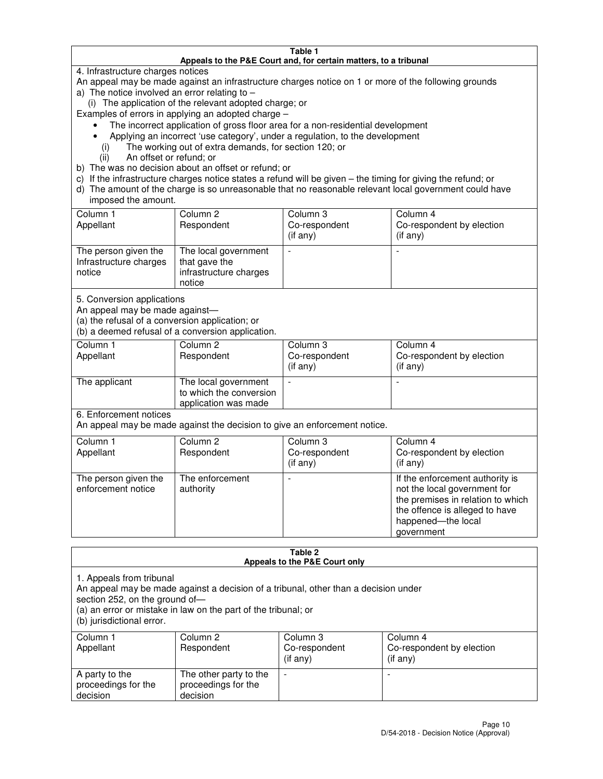#### **Table 1 Appeals to the P&E Court and, for certain matters, to a tribunal**

4. Infrastructure charges notices

An appeal may be made against an infrastructure charges notice on 1 or more of the following grounds

- a) The notice involved an error relating to
	- (i) The application of the relevant adopted charge; or

Examples of errors in applying an adopted charge –

- The incorrect application of gross floor area for a non-residential development
- Applying an incorrect 'use category', under a regulation, to the development
	- (i) The working out of extra demands, for section 120; or
	- (ii) An offset or refund; or
- b) The was no decision about an offset or refund; or
- c) If the infrastructure charges notice states a refund will be given the timing for giving the refund; or
- d) The amount of the charge is so unreasonable that no reasonable relevant local government could have imposed the amount.

| Column 1<br>Appellant                                    | Column 2<br>Respondent                                                    | Column 3<br>Co-respondent<br>$($ if any $)$ | Column 4<br>Co-respondent by election<br>$($ if any $)$ |
|----------------------------------------------------------|---------------------------------------------------------------------------|---------------------------------------------|---------------------------------------------------------|
| The person given the<br>Infrastructure charges<br>notice | The local government<br>that gave the<br>infrastructure charges<br>notice |                                             |                                                         |

5. Conversion applications

An appeal may be made against—

(a) the refusal of a conversion application; or

(b) a deemed refusal of a conversion application.

| Column 1<br>Appellant | Column 2<br>Respondent                                                  | Column 3<br>Co-respondent<br>$($ if any $)$ | Column 4<br>Co-respondent by election<br>$($ if any $)$ |
|-----------------------|-------------------------------------------------------------------------|---------------------------------------------|---------------------------------------------------------|
| The applicant         | The local government<br>to which the conversion<br>application was made |                                             |                                                         |

6. Enforcement notices

An appeal may be made against the decision to give an enforcement notice.

| Column 1<br>Appellant                      | Column 2<br>Respondent       | Column 3<br>Co-respondent<br>$($ if any $)$ | Column 4<br>Co-respondent by election<br>(if any)                                                                                                                          |
|--------------------------------------------|------------------------------|---------------------------------------------|----------------------------------------------------------------------------------------------------------------------------------------------------------------------------|
| The person given the<br>enforcement notice | The enforcement<br>authority |                                             | If the enforcement authority is<br>not the local government for<br>the premises in relation to which<br>the offence is alleged to have<br>happened-the local<br>government |

#### **Table 2 Appeals to the P&E Court only**

1. Appeals from tribunal

An appeal may be made against a decision of a tribunal, other than a decision under

section 252, on the ground of—

(a) an error or mistake in law on the part of the tribunal; or

(b) jurisdictional error.

| Column 1<br>Appellant                             | Column 2<br>Respondent                                    | Column 3<br>Co-respondent<br>(if any) | Column 4<br>Co-respondent by election<br>(if any) |
|---------------------------------------------------|-----------------------------------------------------------|---------------------------------------|---------------------------------------------------|
| A party to the<br>proceedings for the<br>decision | The other party to the<br>proceedings for the<br>decision | $\overline{\phantom{a}}$              |                                                   |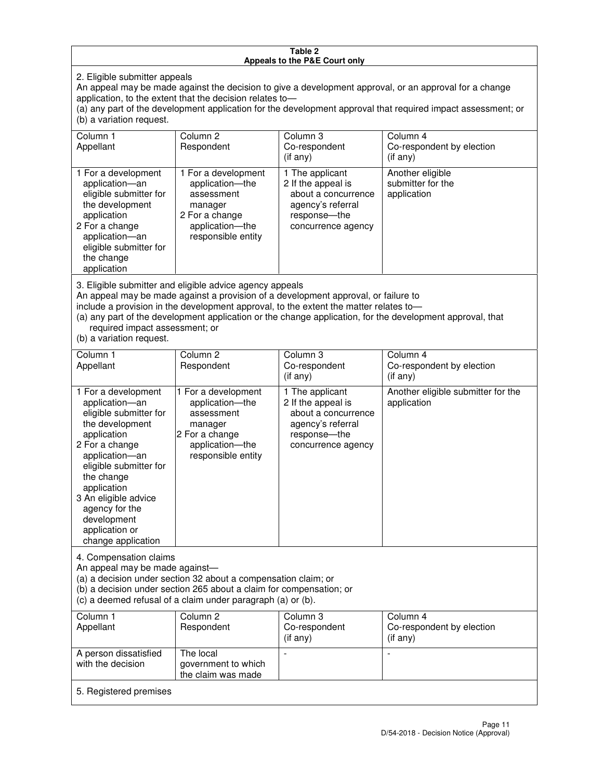#### **Table 2 Appeals to the P&E Court only**

2. Eligible submitter appeals

An appeal may be made against the decision to give a development approval, or an approval for a change application, to the extent that the decision relates to—

(a) any part of the development application for the development approval that required impact assessment; or (b) a variation request.

| Column 1<br>Appellant                                                                                                                                                                                                                                                                                                                                                                                              | Column 2<br>Respondent                                                                                                     | Column 3<br>Co-respondent<br>$($ if any $)$                                                                               | Column 4<br>Co-respondent by election<br>(i f any)   |
|--------------------------------------------------------------------------------------------------------------------------------------------------------------------------------------------------------------------------------------------------------------------------------------------------------------------------------------------------------------------------------------------------------------------|----------------------------------------------------------------------------------------------------------------------------|---------------------------------------------------------------------------------------------------------------------------|------------------------------------------------------|
| 1 For a development<br>application-an<br>eligible submitter for<br>the development<br>application<br>2 For a change<br>application-an<br>eligible submitter for<br>the change<br>application                                                                                                                                                                                                                       | 1 For a development<br>application-the<br>assessment<br>manager<br>2 For a change<br>application-the<br>responsible entity | 1 The applicant<br>2 If the appeal is<br>about a concurrence<br>agency's referral<br>response---the<br>concurrence agency | Another eligible<br>submitter for the<br>application |
| 3. Eligible submitter and eligible advice agency appeals<br>An appeal may be made against a provision of a development approval, or failure to<br>include a provision in the development approval, to the extent the matter relates to-<br>(a) any part of the development application or the change application, for the development approval, that<br>required impact assessment; or<br>(b) a variation request. |                                                                                                                            |                                                                                                                           |                                                      |
| Column <sub>1</sub>                                                                                                                                                                                                                                                                                                                                                                                                | Column <sub>2</sub>                                                                                                        | Column 3                                                                                                                  | Column 4                                             |
| Appellant                                                                                                                                                                                                                                                                                                                                                                                                          | Respondent                                                                                                                 | Co-respondent<br>(if any)                                                                                                 | Co-respondent by election<br>(i f any)               |
| 1 For a development<br>application-an<br>eligible submitter for<br>the development<br>application                                                                                                                                                                                                                                                                                                                  | 1 For a development<br>application-the<br>assessment<br>manager<br>2 For a change                                          | 1 The applicant<br>2 If the appeal is<br>about a concurrence<br>agency's referral<br>response---the                       | Another eligible submitter for the<br>application    |

concurrence agency

4. Compensation claims

2 For a change application—an eligible submitter for

the change application 3 An eligible advice agency for the development application or change application

An appeal may be made against—

(a) a decision under section 32 about a compensation claim; or

(b) a decision under section 265 about a claim for compensation; or

application—the responsible entity

(c) a deemed refusal of a claim under paragraph (a) or (b).

| Column 1<br>Appellant                      | Column 2<br>Respondent                                 | Column 3<br>Co-respondent<br>(if any) | Column 4<br>Co-respondent by election<br>$($ if any $)$ |
|--------------------------------------------|--------------------------------------------------------|---------------------------------------|---------------------------------------------------------|
| A person dissatisfied<br>with the decision | The local<br>government to which<br>the claim was made | -                                     |                                                         |
| 5. Registered premises                     |                                                        |                                       |                                                         |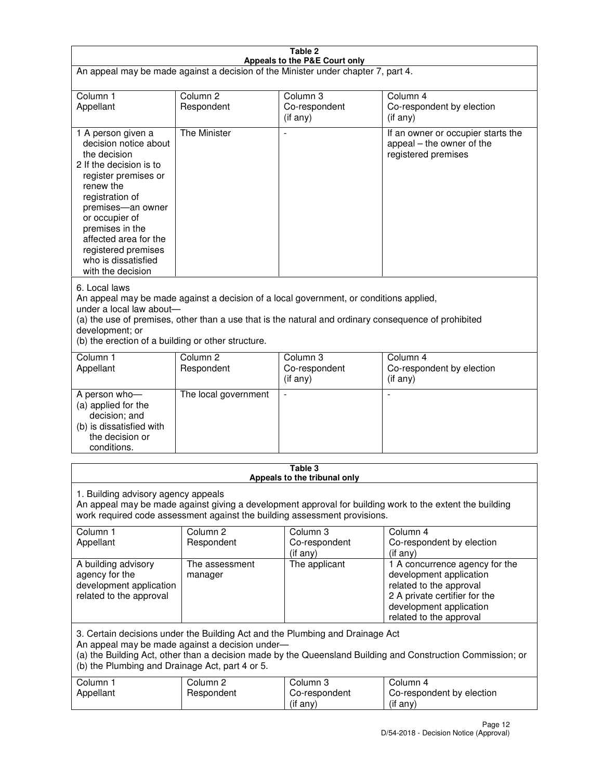| Table 2<br>Appeals to the P&E Court only                                                                                                                                                                                                                                                                             |                                   |                                         |                                                                                                                                                                             |  |
|----------------------------------------------------------------------------------------------------------------------------------------------------------------------------------------------------------------------------------------------------------------------------------------------------------------------|-----------------------------------|-----------------------------------------|-----------------------------------------------------------------------------------------------------------------------------------------------------------------------------|--|
| An appeal may be made against a decision of the Minister under chapter 7, part 4.                                                                                                                                                                                                                                    |                                   |                                         |                                                                                                                                                                             |  |
|                                                                                                                                                                                                                                                                                                                      |                                   |                                         |                                                                                                                                                                             |  |
| Column 1<br>Appellant                                                                                                                                                                                                                                                                                                | Column <sub>2</sub><br>Respondent | Column <sub>3</sub><br>Co-respondent    | Column <sub>4</sub><br>Co-respondent by election                                                                                                                            |  |
|                                                                                                                                                                                                                                                                                                                      |                                   | (if any)                                | (if any)                                                                                                                                                                    |  |
| 1 A person given a<br>decision notice about<br>the decision<br>2 If the decision is to<br>register premises or<br>renew the<br>registration of<br>premises-an owner<br>or occupier of<br>premises in the<br>affected area for the<br>registered premises<br>who is dissatisfied<br>with the decision                 | <b>The Minister</b>               |                                         | If an owner or occupier starts the<br>appeal – the owner of the<br>registered premises                                                                                      |  |
| 6. Local laws<br>An appeal may be made against a decision of a local government, or conditions applied,<br>under a local law about-<br>(a) the use of premises, other than a use that is the natural and ordinary consequence of prohibited<br>development; or<br>(b) the erection of a building or other structure. |                                   |                                         |                                                                                                                                                                             |  |
| Column 1                                                                                                                                                                                                                                                                                                             | Column <sub>2</sub>               | Column 3                                | Column $\overline{4}$                                                                                                                                                       |  |
| Appellant                                                                                                                                                                                                                                                                                                            | Respondent                        | Co-respondent<br>(if any)               | Co-respondent by election<br>(if any)                                                                                                                                       |  |
| A person who-<br>(a) applied for the<br>decision; and<br>(b) is dissatisfied with<br>the decision or<br>conditions.                                                                                                                                                                                                  | The local government              |                                         |                                                                                                                                                                             |  |
|                                                                                                                                                                                                                                                                                                                      |                                   | Table 3<br>Appeals to the tribunal only |                                                                                                                                                                             |  |
| 1. Building advisory agency appeals<br>An appeal may be made against giving a development approval for building work to the extent the building<br>work required code assessment against the building assessment provisions.                                                                                         |                                   |                                         |                                                                                                                                                                             |  |
| Column 1<br>Appellant                                                                                                                                                                                                                                                                                                | Column <sub>2</sub><br>Respondent | Column 3<br>Co-respondent<br>(if any)   | Column 4<br>Co-respondent by election<br>(if any)                                                                                                                           |  |
| A building advisory<br>agency for the<br>development application<br>related to the approval                                                                                                                                                                                                                          | The assessment<br>manager         | The applicant                           | 1 A concurrence agency for the<br>development application<br>related to the approval<br>2 A private certifier for the<br>development application<br>related to the approval |  |
| 3. Certain decisions under the Building Act and the Plumbing and Drainage Act<br>An appeal may be made against a decision under-<br>(a) the Building Act, other than a decision made by the Queensland Building and Construction Commission; or<br>(b) the Plumbing and Drainage Act, part 4 or 5.                   |                                   |                                         |                                                                                                                                                                             |  |
| Column 1<br>Appellant                                                                                                                                                                                                                                                                                                | Column <sub>2</sub><br>Respondent | Column 3<br>Co-respondent<br>(if any)   | Column 4<br>Co-respondent by election<br>(if any)                                                                                                                           |  |